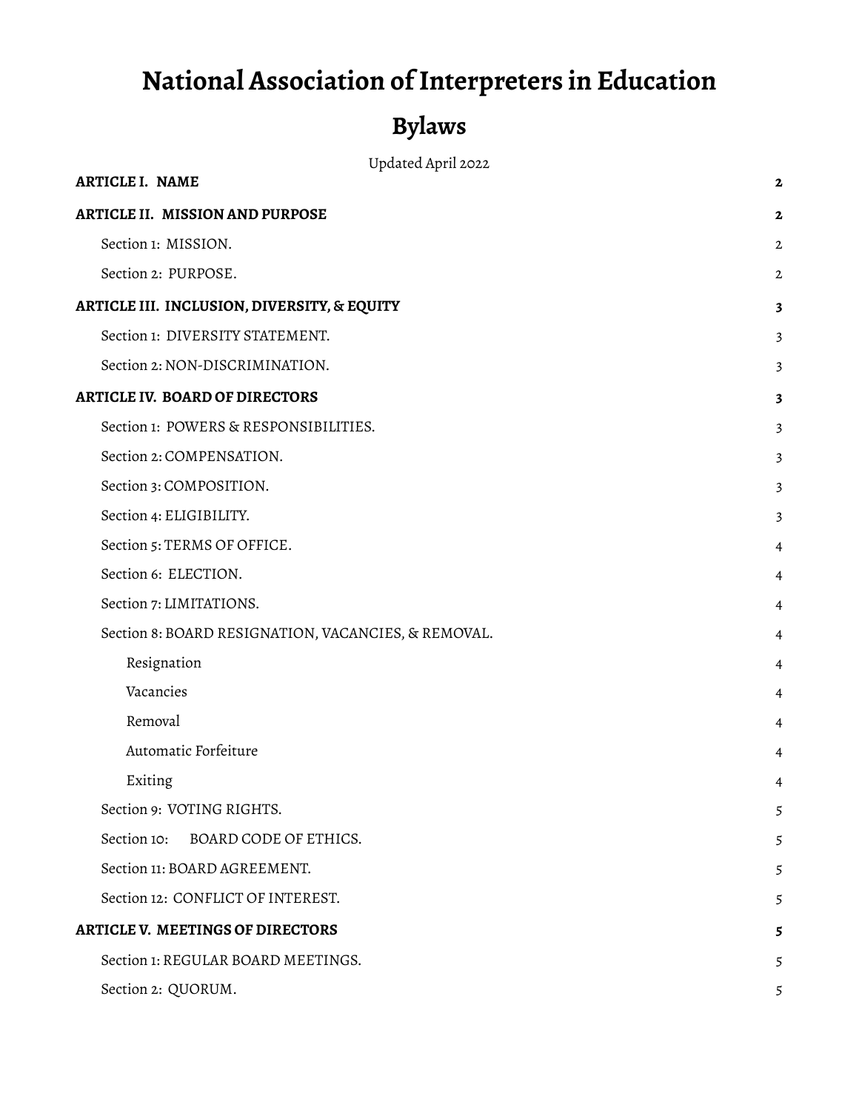# **National Association ofInterpreters in Education**

# **Bylaws**

| Updated April 2022 |
|--------------------|
|--------------------|

| <b>ARTICLE I. NAME</b>                              | 2            |
|-----------------------------------------------------|--------------|
| ARTICLE II. MISSION AND PURPOSE                     | 2            |
| Section 1: MISSION.                                 | $\mathbf{2}$ |
| Section 2: PURPOSE.                                 | 2            |
| ARTICLE III. INCLUSION, DIVERSITY, & EQUITY         | 3            |
| Section 1: DIVERSITY STATEMENT.                     | 3            |
| Section 2: NON-DISCRIMINATION.                      | 3            |
| <b>ARTICLE IV. BOARD OF DIRECTORS</b>               | 3            |
| Section 1: POWERS & RESPONSIBILITIES.               | 3            |
| Section 2: COMPENSATION.                            | 3            |
| Section 3: COMPOSITION.                             | 3            |
| Section 4: ELIGIBILITY.                             | 3            |
| Section 5: TERMS OF OFFICE.                         | 4            |
| Section 6: ELECTION.                                | 4            |
| Section 7: LIMITATIONS.                             | 4            |
| Section 8: BOARD RESIGNATION, VACANCIES, & REMOVAL. | 4            |
| Resignation                                         | 4            |
| Vacancies                                           | 4            |
| Removal                                             | 4            |
| Automatic Forfeiture                                | 4            |
| Exiting                                             | 4            |
| Section 9: VOTING RIGHTS.                           | 5            |
| Section 10:<br>BOARD CODE OF ETHICS.                | 5            |
| Section 11: BOARD AGREEMENT.                        | 5            |
| Section 12: CONFLICT OF INTEREST.                   | 5            |
| <b>ARTICLE V. MEETINGS OF DIRECTORS</b>             | 5            |
| Section 1: REGULAR BOARD MEETINGS.                  | 5            |
| Section 2: QUORUM.                                  | 5            |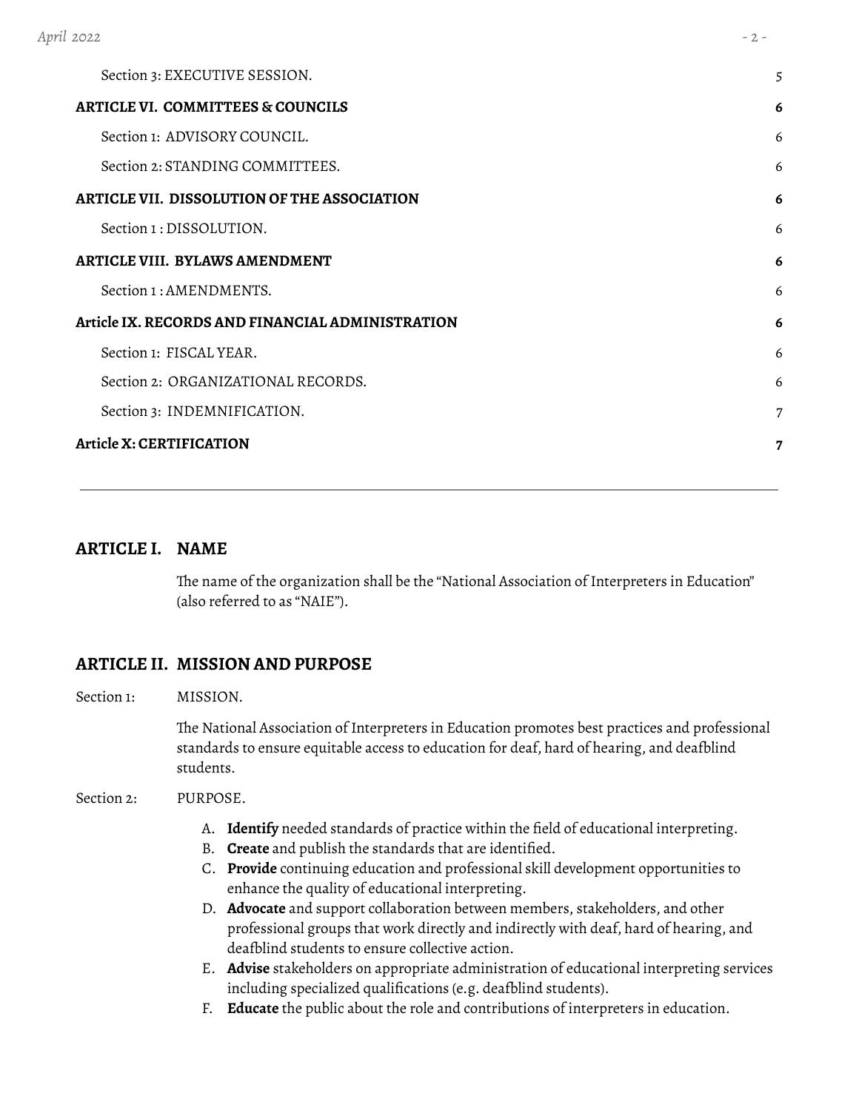| April 2022                                         | $-2 -$         |
|----------------------------------------------------|----------------|
| Section 3: EXECUTIVE SESSION.                      | 5              |
| <b>ARTICLE VI. COMMITTEES &amp; COUNCILS</b>       | 6              |
| Section 1: ADVISORY COUNCIL.                       | 6              |
| Section 2: STANDING COMMITTEES.                    | 6              |
| <b>ARTICLE VII. DISSOLUTION OF THE ASSOCIATION</b> | 6              |
| Section 1 : DISSOLUTION.                           | 6              |
| <b>ARTICLE VIII. BYLAWS AMENDMENT</b>              | 6              |
| Section 1: AMENDMENTS.                             | 6              |
| Article IX. RECORDS AND FINANCIAL ADMINISTRATION   | 6              |
| Section 1: FISCAL YEAR.                            | 6              |
| Section 2: ORGANIZATIONAL RECORDS.                 | 6              |
| Section 3: INDEMNIFICATION.                        | $\overline{7}$ |
| <b>Article X: CERTIFICATION</b>                    | 7              |

## <span id="page-1-0"></span>**ARTICLE I. NAME**

The name of the organization shall be the "National Association of Interpreters in Education" (also referred to as "NAIE").

## <span id="page-1-1"></span>**ARTICLE II. MISSION AND PURPOSE**

<span id="page-1-2"></span>Section 1: MISSION.

The National Association of Interpreters in Education promotes best practices and professional standards to ensure equitable access to education for deaf, hard of hearing, and deafblind students.

#### <span id="page-1-3"></span>Section 2: PURPOSE.

- A. **Identify** needed standards of practice within the field of educational interpreting.
- B. **Create** and publish the standards that are identified.
- C. **Provide** continuing education and professional skill development opportunities to enhance the quality of educational interpreting.
- D. **Advocate** and support collaboration between members, stakeholders, and other professional groups that work directly and indirectly with deaf, hard of hearing, and deafblind students to ensure collective action.
- E. **Advise** stakeholders on appropriate administration of educational interpreting services including specialized qualifications (e.g. deafblind students).
- F. **Educate** the public about the role and contributions of interpreters in education.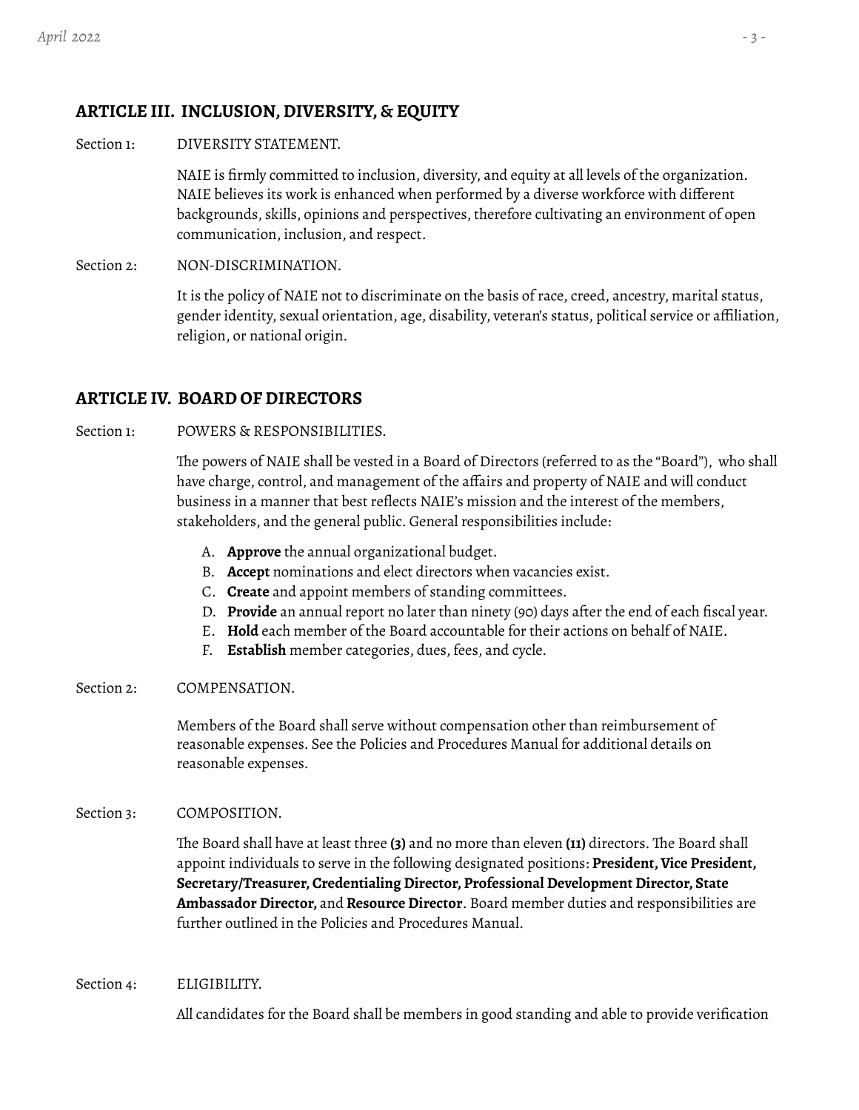# <span id="page-2-0"></span>**ARTICLE III. INCLUSION,DIVERSITY, & EQUITY**

<span id="page-2-1"></span>Section 1: DIVERSITY STATEMENT.

NAIE is firmly committed to inclusion, diversity, and equity at all levels of the organization. NAIE believes its work is enhanced when performed by a diverse workforce with different backgrounds, skills, opinions and perspectives, therefore cultivating an environment of open communication, inclusion, and respect.

<span id="page-2-2"></span>Section 2: NON-DISCRIMINATION.

It is the policy of NAIE not to discriminate on the basis of race, creed, ancestry, marital status, gender identity, sexual orientation, age, disability, veteran's status, political service or affiliation, religion, or national origin.

## <span id="page-2-3"></span>**ARTICLE IV. BOARD OF DIRECTORS**

## <span id="page-2-4"></span>Section 1: POWERS & RESPONSIBILITIES.

The powers of NAIE shall be vested in a Board of Directors (referred to as the "Board"), who shall have charge, control, and management of the affairs and property of NAIE and will conduct business in a manner that best reflects NAIE's mission and the interest of the members, stakeholders, and the general public. General responsibilities include:

- A. **Approve** the annual organizational budget.
- B. **Accept** nominations and elect directors when vacancies exist.
- C. **Create** and appoint members of standing committees.
- D. **Provide** an annual report no later than ninety (90) days after the end of each fiscal year.
- E. **Hold** each member of the Board accountable for their actions on behalf of NAIE.
- F. **Establish** member categories, dues, fees, and cycle.

#### <span id="page-2-5"></span>Section 2: COMPENSATION.

Members of the Board shall serve without compensation other than reimbursement of reasonable expenses. See the Policies and Procedures Manual for additional details on reasonable expenses.

## <span id="page-2-6"></span>Section 3: COMPOSITION.

The Board shall have at least three **(3)** and no more than eleven **(11)** directors. The Board shall appoint individuals to serve in the following designated positions: President, Vice President, **Secretary/Treasurer,Credentialing Director, Professional Development Director, State Ambassador Director,** and **Resource Director**. Board member duties and responsibilities are further outlined in the Policies and Procedures Manual.

<span id="page-2-7"></span>Section 4: ELIGIBILITY.

All candidates for the Board shall be members in good standing and able to provide verification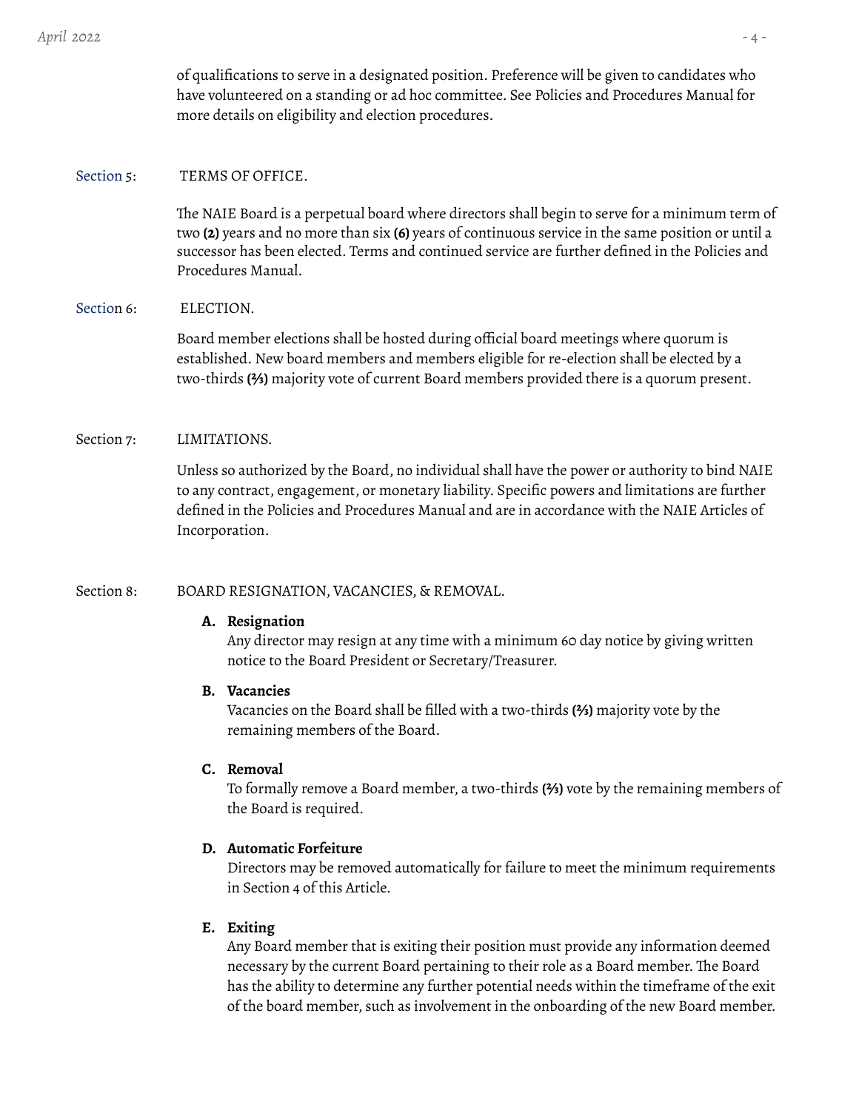of qualifications to serve in a designated position. Preference will be given to candidates who have volunteered on a standing or ad hoc committee. See Policies and Procedures Manual for more details on eligibility and election procedures.

#### <span id="page-3-0"></span>Section 5: TERMS OF OFFICE.

The NAIE Board is a perpetual board where directors shall begin to serve for a minimum term of two **(2)** years and no more than six **(6)** years of continuous service in the same position or until a successor has been elected. Terms and continued service are further defined in the Policies and Procedures Manual.

#### <span id="page-3-1"></span>Section 6: ELECTION.

Board member elections shall be hosted during official board meetings where quorum is established. New board members and members eligible for re-election shall be elected by a two-thirds **(⅔)** majority vote of current Board members provided there is a quorum present.

#### <span id="page-3-2"></span>Section 7: LIMITATIONS.

Unless so authorized by the Board, no individual shall have the power or authority to bind NAIE to any contract, engagement, or monetary liability. Specific powers and limitations are further defined in the Policies and Procedures Manual and are in accordance with the NAIE Articles of Incorporation.

#### <span id="page-3-5"></span><span id="page-3-4"></span><span id="page-3-3"></span>Section 8: BOARD RESIGNATION, VACANCIES, & REMOVAL.

#### **A. Resignation**

Any director may resign at any time with a minimum 60 day notice by giving written notice to the Board President or Secretary/Treasurer.

#### **B. Vacancies**

Vacancies on the Board shall be filled with a two-thirds **(⅔)** majority vote by the remaining members of the Board.

#### <span id="page-3-6"></span>**C. Removal**

To formally remove a Board member, a two-thirds **(⅔)** vote by the remaining members of the Board is required.

#### <span id="page-3-7"></span>**D. Automatic Forfeiture**

Directors may be removed automatically for failure to meet the minimum requirements in Section 4 of this Article.

#### <span id="page-3-8"></span>**E. Exiting**

Any Board member that is exiting their position must provide any information deemed necessary by the current Board pertaining to their role as a Board member. The Board has the ability to determine any further potential needs within the timeframe of the exit of the board member, such as involvement in the onboarding of the new Board member.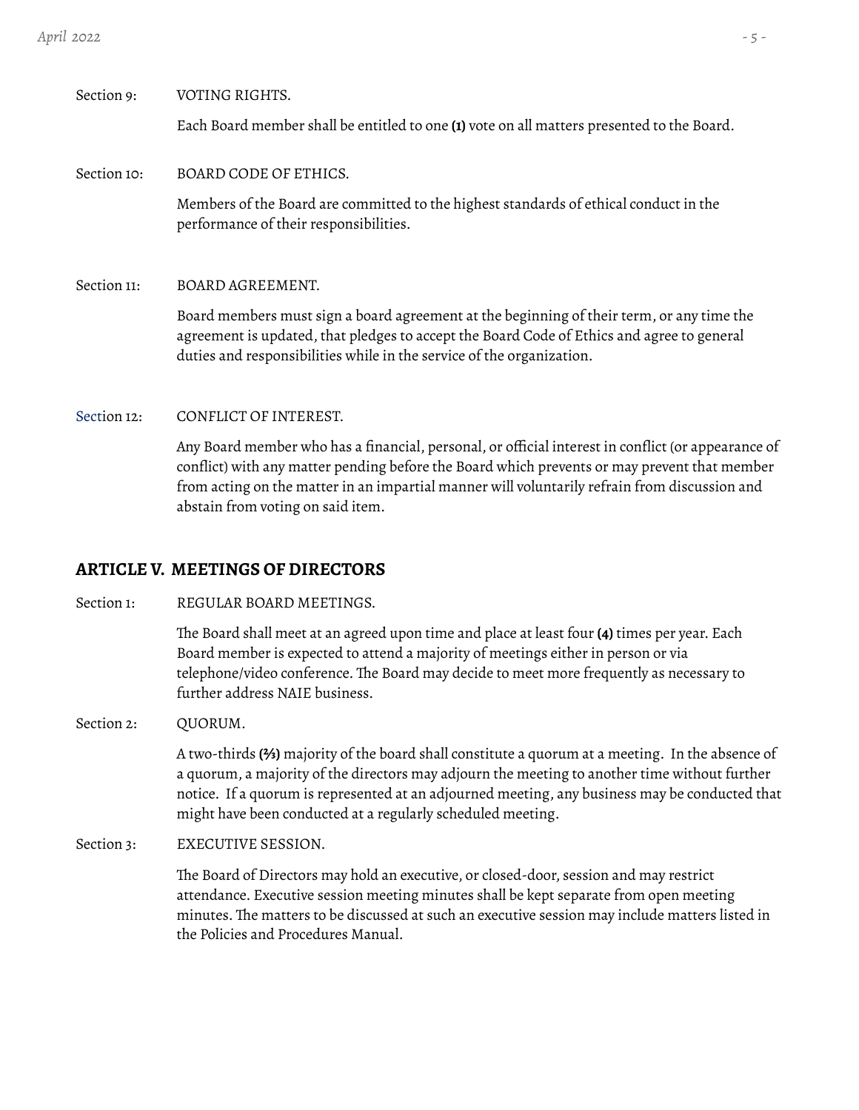# <span id="page-4-1"></span><span id="page-4-0"></span>Section 9: VOTING RIGHTS. Each Board member shall be entitled to one **(1)** vote on all matters presented to the Board. Section 10: BOARD CODE OF ETHICS.

Members of the Board are committed to the highest standards of ethical conduct in the performance of their responsibilities.

<span id="page-4-2"></span>Section 11: BOARD AGREEMENT.

Board members must sign a board agreement at the beginning of their term, or any time the agreement is updated, that pledges to accept the Board Code of Ethics and agree to general duties and responsibilities while in the service of the organization.

## <span id="page-4-3"></span>Section 12: CONFLICT OF INTEREST.

Any Board member who has a financial, personal, or official interest in conflict (or appearance of conflict) with any matter pending before the Board which prevents or may prevent that member from acting on the matter in an impartial manner will voluntarily refrain from discussion and abstain from voting on said item.

# <span id="page-4-4"></span>**ARTICLE V. MEETINGS OF DIRECTORS**

<span id="page-4-5"></span>Section 1: REGULAR BOARD MEETINGS.

The Board shall meet at an agreed upon time and place at least four **(4)** times per year. Each Board member is expected to attend a majority of meetings either in person or via telephone/video conference. The Board may decide to meet more frequently as necessary to further address NAIE business.

<span id="page-4-6"></span>Section 2: QUORUM.

A two-thirds **(⅔)** majority of the board shall constitute a quorum at a meeting. In the absence of a quorum, a majority of the directors may adjourn the meeting to another time without further notice. If a quorum is represented at an adjourned meeting, any business may be conducted that might have been conducted at a regularly scheduled meeting.

<span id="page-4-7"></span>Section 3: EXECUTIVE SESSION.

The Board of Directors may hold an executive, or closed-door, session and may restrict attendance. Executive session meeting minutes shall be kept separate from open meeting minutes. The matters to be discussed at such an executive session may include matters listed in the Policies and Procedures Manual.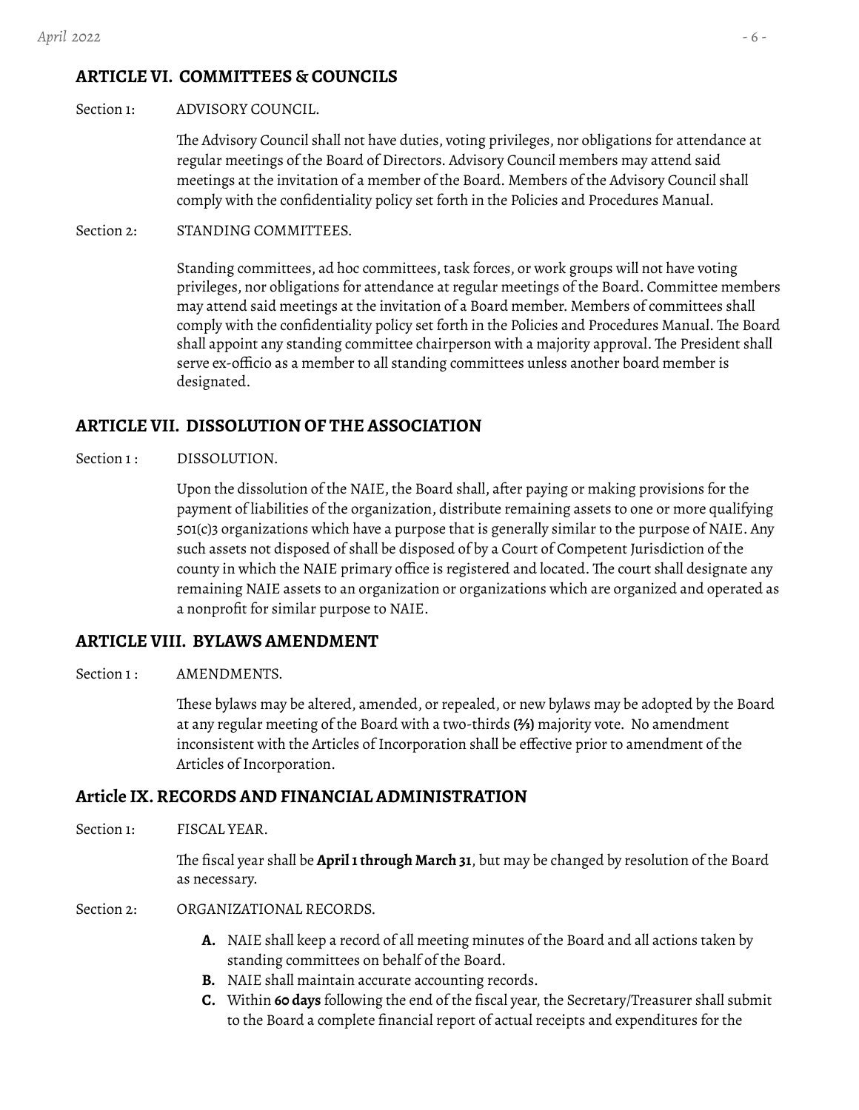# <span id="page-5-0"></span>**ARTICLE VI. COMMITTEES & COUNCILS**

### <span id="page-5-1"></span>Section 1: ADVISORY COUNCIL.

The Advisory Council shall not have duties, voting privileges, nor obligations for attendance at regular meetings of the Board of Directors. Advisory Council members may attend said meetings at the invitation of a member of the Board. Members of the Advisory Council shall comply with the confidentiality policy set forth in the Policies and Procedures Manual.

## <span id="page-5-2"></span>Section 2: STANDING COMMITTEES.

Standing committees, ad hoc committees, task forces, or work groups will not have voting privileges, nor obligations for attendance at regular meetings of the Board. Committee members may attend said meetings at the invitation of a Board member. Members of committees shall comply with the confidentiality policy set forth in the Policies and Procedures Manual. The Board shall appoint any standing committee chairperson with a majority approval. The President shall serve ex-officio as a member to all standing committees unless another board member is designated.

## <span id="page-5-3"></span>**ARTICLE VII. DISSOLUTION OF THE ASSOCIATION**

<span id="page-5-4"></span>Section 1: DISSOLUTION.

Upon the dissolution of the NAIE, the Board shall, after paying or making provisions for the payment of liabilities of the organization, distribute remaining assets to one or more qualifying 501(c)3 organizations which have a purpose that is generally similar to the purpose of NAIE. Any such assets not disposed of shall be disposed of by a Court of Competent Jurisdiction of the county in which the NAIE primary office is registered and located. The court shall designate any remaining NAIE assets to an organization or organizations which are organized and operated as a nonprofit for similar purpose to NAIE.

## <span id="page-5-5"></span>**ARTICLE VIII. BYLAWS AMENDMENT**

## <span id="page-5-6"></span>Section 1: AMENDMENTS.

These bylaws may be altered, amended, or repealed, or new bylaws may be adopted by the Board at any regular meeting of the Board with a two-thirds **(⅔)** majority vote. No amendment inconsistent with the Articles of Incorporation shall be effective prior to amendment of the Articles of Incorporation.

## <span id="page-5-7"></span>**Article IX.RECORDS AND FINANCIAL ADMINISTRATION**

<span id="page-5-8"></span>Section 1: FISCAL YEAR.

The fiscal year shall be **April1through March 31**, but may be changed by resolution of the Board as necessary.

- <span id="page-5-9"></span>Section 2: ORGANIZATIONAL RECORDS.
	- **A.** NAIE shall keep a record of all meeting minutes of the Board and all actions taken by standing committees on behalf of the Board.
	- **B.** NAIE shall maintain accurate accounting records.
	- **C.** Within **60 days** following the end of the fiscal year, the Secretary/Treasurer shall submit to the Board a complete financial report of actual receipts and expenditures for the